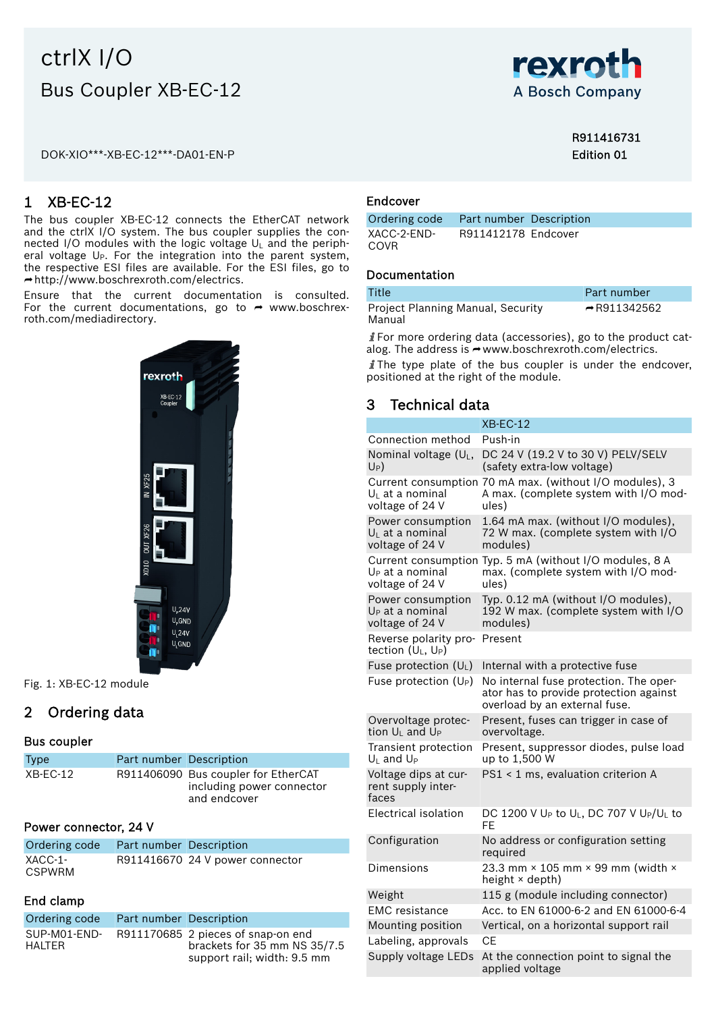# ctrlX I/O Bus Coupler XB-EC-12

DOK-XIO\*\*\*-XB-EC-12\*\*\*-DA01-EN-P



### R911416731 Edition 01

## 1 XB-EC-12

The bus coupler XB-EC-12 connects the EtherCAT network and the ctrlX I/O system. The bus coupler supplies the connected I/O modules with the logic voltage  $U_L$  and the peripheral voltage U<sub>P</sub>. For the integration into the parent system, the respective ESI files are available. For the ESI files, go to ⮫ <http://www.boschrexroth.com/electrics>.

Ensure that the current documentation is consulted. For the current documentations, go to  $\rightarrow$  [www.boschrex](http://www.boschrexroth.com/mediadirectory)[roth.com/mediadirectory.](http://www.boschrexroth.com/mediadirectory)



Fig. 1: XB-EC-12 module

## 2 Ordering data

### Bus coupler

| <b>Type</b> | Part number Description |                                                                                  |
|-------------|-------------------------|----------------------------------------------------------------------------------|
| XB-EC-12    |                         | R911406090 Bus coupler for EtherCAT<br>including power connector<br>and endcover |

### Power connector, 24 V

| Ordering code Part number Description |                                 |
|---------------------------------------|---------------------------------|
| XACC-1-<br><b>CSPWRM</b>              | R911416670 24 V power connector |

### End clamp

| Ordering code          | Part number Description |                                                                                                   |
|------------------------|-------------------------|---------------------------------------------------------------------------------------------------|
| SUP-M01-END-<br>HALTER |                         | R911170685 2 pieces of snap-on end<br>brackets for 35 mm NS 35/7.5<br>support rail; width: 9.5 mm |

### Endcover

| Ordering code Part number Description |                     |  |
|---------------------------------------|---------------------|--|
| XACC-2-END-                           | R911412178 Endcover |  |
| COVR.                                 |                     |  |

### Documentation

| Title                                       | Part number              |
|---------------------------------------------|--------------------------|
| Project Planning Manual, Security<br>Manual | $\rightarrow$ R911342562 |

For more ordering data (accessories), go to the product catalog. The address is → [www.boschrexroth.com/electrics.](http://www.boschrexroth.com/electrics)

 $\mathbf{j}$ The type plate of the bus coupler is under the endcover, positioned at the right of the module.

### 3 Technical data

|                                                                     | $XB-EC-12$                                                                                                        |
|---------------------------------------------------------------------|-------------------------------------------------------------------------------------------------------------------|
| Connection method                                                   | Push-in                                                                                                           |
| Nominal voltage $(U_L,$<br>U <sub>P</sub> )                         | DC 24 V (19.2 V to 30 V) PELV/SELV<br>(safety extra-low voltage)                                                  |
| $U_L$ at a nominal<br>voltage of 24 V                               | Current consumption 70 mA max. (without I/O modules), 3<br>A max. (complete system with I/O mod-<br>ules)         |
| Power consumption<br>U <sub>L</sub> at a nominal<br>voltage of 24 V | 1.64 mA max. (without I/O modules),<br>72 W max. (complete system with I/O<br>modules)                            |
| U <sub>P</sub> at a nominal<br>voltage of 24 V                      | Current consumption Typ. 5 mA (without I/O modules, 8 A<br>max. (complete system with I/O mod-<br>ules)           |
| Power consumption<br>$U_P$ at a nominal<br>voltage of 24 V          | Typ. 0.12 mA (without I/O modules),<br>192 W max. (complete system with I/O<br>modules)                           |
| Reverse polarity pro-<br>tection $(U_1, U_2)$                       | Present                                                                                                           |
| Fuse protection $(U_L)$                                             | Internal with a protective fuse                                                                                   |
| Fuse protection $(U_P)$                                             | No internal fuse protection. The oper-<br>ator has to provide protection against<br>overload by an external fuse. |
| Overvoltage protec-<br>tion U <sub>L</sub> and U <sub>P</sub>       | Present, fuses can trigger in case of<br>overvoltage.                                                             |
| Transient protection<br>$U_1$ and $U_P$                             | Present, suppressor diodes, pulse load<br>up to 1,500 W                                                           |
| Voltage dips at cur-<br>rent supply inter-<br>faces                 | PS1 < 1 ms, evaluation criterion A                                                                                |
| <b>Electrical isolation</b>                                         | DC 1200 V U <sub>P</sub> to U <sub>L</sub> , DC 707 V U <sub>P</sub> /U <sub>L</sub> to<br>FF                     |
| Configuration                                                       | No address or configuration setting<br>required                                                                   |
| Dimensions                                                          | 23.3 mm × 105 mm × 99 mm (width ×<br>height × depth)                                                              |
| Weight                                                              | 115 g (module including connector)                                                                                |
| <b>EMC</b> resistance                                               | Acc. to EN 61000-6-2 and EN 61000-6-4                                                                             |
| Mounting position                                                   | Vertical, on a horizontal support rail                                                                            |
| Labeling, approvals                                                 | <b>CE</b>                                                                                                         |
| Supply voltage LEDs                                                 | At the connection point to signal the<br>applied voltage                                                          |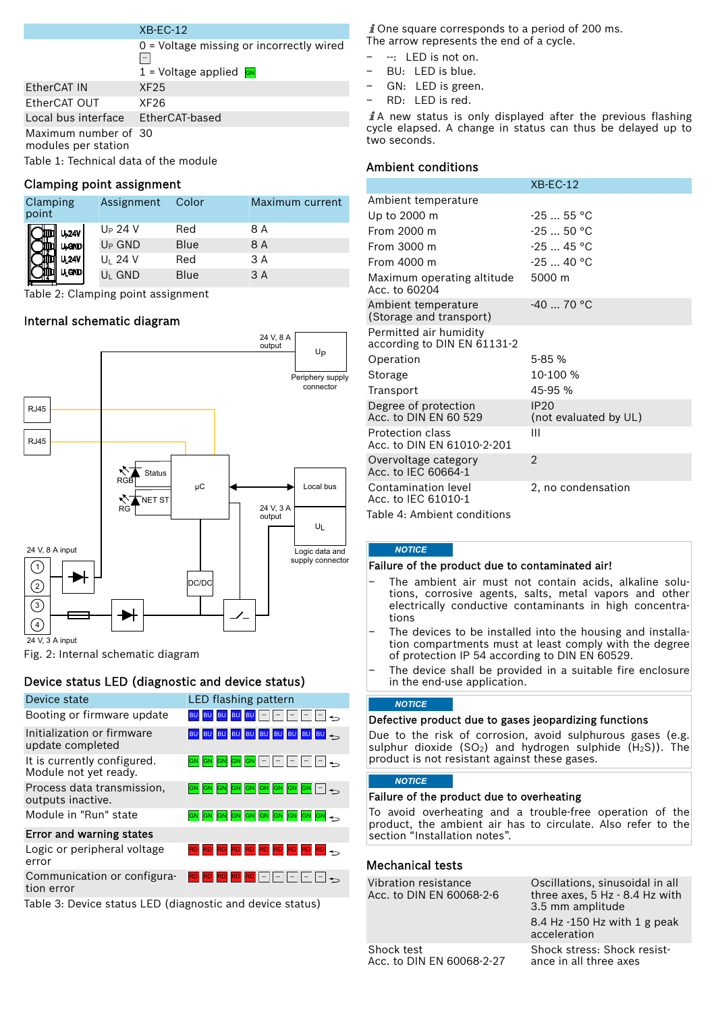### XB-EC-12

| Table 1: Technical data of the module       |                                            | Ambient conditions                   |
|---------------------------------------------|--------------------------------------------|--------------------------------------|
| Maximum number of 30<br>modules per station |                                            | cycle elapsed. A cha<br>two seconds. |
| Local bus interface EtherCAT-based          |                                            | $\angle$ A new status is o           |
| EtherCAT OUT                                | XF26                                       | - RD: LED is red.                    |
| EtherCAT IN                                 | XF25                                       | $-$ GN: LED is gree                  |
|                                             | $1$ = Voltage applied $\sqrt{GM}$          | - BU: LED is blue.                   |
|                                             |                                            | - --: LED is not on                  |
|                                             | $0$ = Voltage missing or incorrectly wired | The arrow represents                 |

### Clamping point assignment

| Clamping<br>point       | Assignment          | Color | Maximum current |
|-------------------------|---------------------|-------|-----------------|
| U <sub>24V</sub>        | U <sub>P</sub> 24 V | Red   | 8 A             |
| U <sub>p</sub> GND      | $U_P$ GND           | Blue  | 8 A             |
| <b>U<sub>1</sub>24V</b> | $U_1$ 24 V          | Red   | 3 A             |
| <b>U, GND</b>           | $U_1$ GND           | Blue  | 3 A             |

Table 2: Clamping point assignment

### Internal schematic diagram



Fig. 2: Internal schematic diagram

### Device status LED (diagnostic and device status)

| Device state                                              | LED flashing pattern               | <b>NOTICE</b>                                                                                                                |                                                                       |
|-----------------------------------------------------------|------------------------------------|------------------------------------------------------------------------------------------------------------------------------|-----------------------------------------------------------------------|
| Booting or firmware update                                | BU BU BU BU - - - - - - -          | Defective product due to gases jeopardizing functions                                                                        |                                                                       |
| Initialization or firmware<br>update completed            | BU BU BU BU BU BU BU BU BU BU 3    | Due to the risk of corrosion, avoid sulphurous gases (e.g.<br>sulphur dioxide $(SO_2)$ and hydrogen sulphide $(H_2S)$ ). The |                                                                       |
| It is currently configured.<br>Module not yet ready.      | GN GN GN GN GN - - - - - - -       | product is not resistant against these gases.                                                                                |                                                                       |
| Process data transmission.<br>outputs inactive.           | GN GN GN GN GN GN GN GN GN GN -    | <b>NOTICE</b><br>Failure of the product due to overheating                                                                   |                                                                       |
| Module in "Run" state                                     | GN GN GN GN GN GN GN GN GN GN 4    | To avoid overheating and a trouble-free operation of the<br>product, the ambient air has to circulate. Also refer to the     |                                                                       |
| Error and warning states                                  |                                    | section "Installation notes".                                                                                                |                                                                       |
| Logic or peripheral voltage<br>error                      | RD RD RD RD RD RD RD RD RD RD      | <b>Mechanical tests</b>                                                                                                      |                                                                       |
| Communication or configura-<br>tion error                 | $ RD RD RD RD RD  -   -  -  - -\ $ | Vibration resistance<br>Acc. to DIN EN 60068-2-6                                                                             | Oscillations, sinusoidal in all<br>three axes, $5$ Hz $-$ 8.4 Hz with |
| Table 3: Device status LED (diagnostic and device status) |                                    |                                                                                                                              | 3.5 mm amplitude                                                      |

 $\hat{i}$  One square corresponds to a period of 200 ms. The arrow represents the end of a cycle.

- − --: LED is not on.
- 
- − GN: LED is green.
- − RD: LED is red.

 $\hat{I}$ A new status is only displayed after the previous flashing cycle elapsed. A change in status can thus be delayed up to two seconds.

### Ambient conditions

|                                                       | $XB-EC-12$                           |
|-------------------------------------------------------|--------------------------------------|
| Ambient temperature                                   |                                      |
| Up to 2000 m                                          | $-2555$ °C                           |
| From 2000 m                                           | $-25$ 50 °C                          |
| From 3000 m                                           | $-2545$ °C                           |
| From 4000 m                                           | $-2540 °C$                           |
| Maximum operating altitude<br>Acc. to 60204           | 5000 m                               |
| Ambient temperature<br>(Storage and transport)        | $-4070 °C$                           |
| Permitted air humidity<br>according to DIN EN 61131-2 |                                      |
| Operation                                             | $5 - 85%$                            |
| Storage                                               | 10-100 %                             |
| Transport                                             | 45-95 %                              |
| Degree of protection<br>Acc. to DIN EN 60 529         | <b>IP20</b><br>(not evaluated by UL) |
| Protection class<br>Acc. to DIN EN 61010-2-201        | Ш                                    |
| Overvoltage category<br>Acc. to IEC 60664-1           | $\overline{2}$                       |
| Contamination level<br>Acc. to IEC 61010-1            | 2, no condensation                   |

Table 4: Ambient conditions

### *NOTICE*

### Failure of the product due to contaminated air!

- The ambient air must not contain acids, alkaline solutions, corrosive agents, salts, metal vapors and other electrically conductive contaminants in high concentrations
- The devices to be installed into the housing and installation compartments must at least comply with the degree of protection IP 54 according to DIN EN 60529.
- The device shall be provided in a suitable fire enclosure in the end-use application.

### *NOTICE*

### *NOTICE*

### Mechanical tests

| Vibration resistance<br>Acc. to DIN EN 60068-2-6 | Oscillations, sinusoidal in all<br>three axes, 5 Hz - 8.4 Hz with<br>3.5 mm amplitude |  |
|--------------------------------------------------|---------------------------------------------------------------------------------------|--|
|                                                  | 8.4 Hz $-150$ Hz with 1 g peak<br>acceleration                                        |  |
| Shock test<br>Acc. to DIN EN 60068-2-27          | Shock stress: Shock resist-<br>ance in all three axes                                 |  |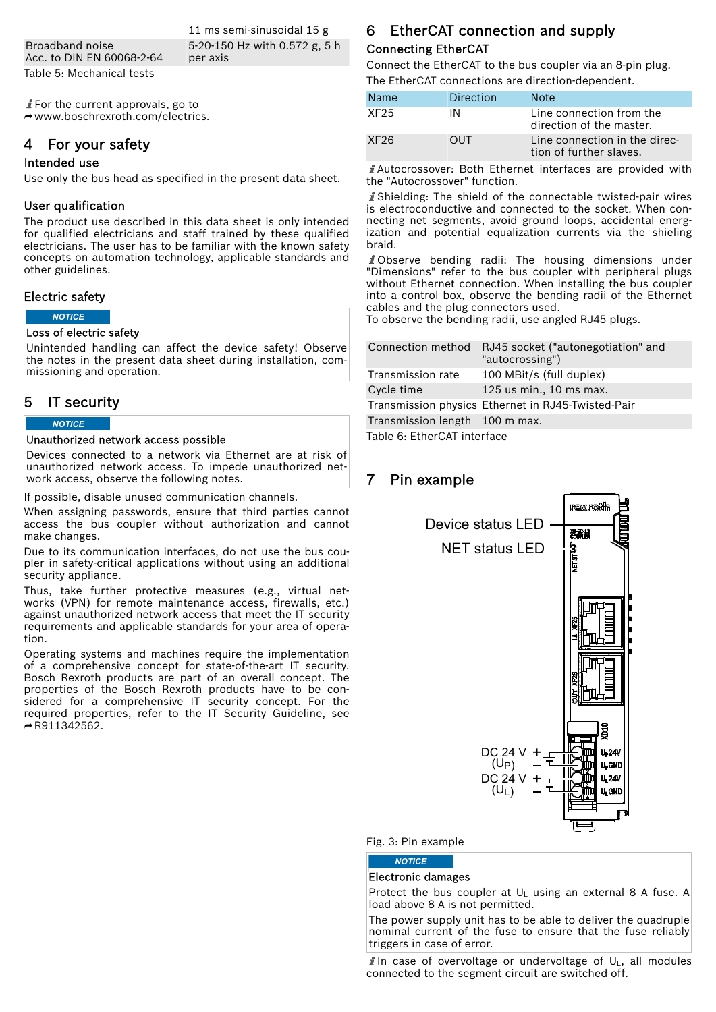Broadband noise Acc. to DIN EN 60068-2-64 Table 5: Mechanical tests

11 ms semi-sinusoidal 15 g 5-20-150 Hz with 0.572 g, 5 h per axis

 $\hat{I}$  For the current approvals, go to  $\rightarrow$  [www.boschrexroth.com/electrics.](http://www.boschrexroth.com/electrics)

### 4 For your safety

### Intended use

Use only the bus head as specified in the present data sheet.

### User qualification

The product use described in this data sheet is only intended for qualified electricians and staff trained by these qualified electricians. The user has to be familiar with the known safety concepts on automation technology, applicable standards and other guidelines.

### Electric safety

*NOTICE*

#### Loss of electric safety

Unintended handling can affect the device safety! Observe the notes in the present data sheet during installation, commissioning and operation.

### 5 IT security

### *NOTICE*

#### Unauthorized network access possible

Devices connected to a network via Ethernet are at risk of unauthorized network access. To impede unauthorized network access, observe the following notes.

If possible, disable unused communication channels.

When assigning passwords, ensure that third parties cannot access the bus coupler without authorization and cannot make changes.

Due to its communication interfaces, do not use the bus coupler in safety-critical applications without using an additional security appliance.

Thus, take further protective measures (e.g., virtual networks (VPN) for remote maintenance access, firewalls, etc.) against unauthorized network access that meet the IT security requirements and applicable standards for your area of operation.

Operating systems and machines require the implementation of a comprehensive concept for state-of-the-art IT security. Bosch Rexroth products are part of an overall concept. The properties of the Bosch Rexroth products have to be considered for a comprehensive IT security concept. For the required properties, refer to the IT Security Guideline, see  $-$ [R911342562](http://www.boschrexroth.com/various/utilities/mediadirectory/index.jsp?edition_enum=DOK-IWORKS-SECURITY***-PR).

### 6 EtherCAT connection and supply Connecting EtherCAT

Connect the EtherCAT to the bus coupler via an 8-pin plug. The EtherCAT connections are direction-dependent.

| Name | Direction  | Note:                                                    |
|------|------------|----------------------------------------------------------|
| XF25 | ΙN         | Line connection from the<br>direction of the master.     |
| XF26 | <b>OUT</b> | Line connection in the direc-<br>tion of further slaves. |

Autocrossover: Both Ethernet interfaces are provided with the "Autocrossover" function.

Shielding: The shield of the connectable twisted-pair wires is electroconductive and connected to the socket. When connecting net segments, avoid ground loops, accidental energization and potential equalization currents via the shieling braid.

i Observe bending radii: The housing dimensions under "Dimensions" refer to the bus coupler with peripheral plugs without Ethernet connection. When installing the bus coupler into a control box, observe the bending radii of the Ethernet cables and the plug connectors used.

To observe the bending radii, use angled RJ45 plugs.

| Connection method              | RJ45 socket ("autonegotiation" and<br>"autocrossing") |
|--------------------------------|-------------------------------------------------------|
| Transmission rate              | 100 MBit/s (full duplex)                              |
| Cycle time                     | 125 us min., 10 ms max.                               |
|                                | Transmission physics Ethernet in RJ45-Twisted-Pair    |
| Transmission length 100 m max. |                                                       |

Table 6: EtherCAT interface

### 7 Pin example



#### Fig. 3: Pin example

*NOTICE*

### Electronic damages

Protect the bus coupler at  $U_L$  using an external 8 A fuse. A load above 8 A is not permitted.

The power supply unit has to be able to deliver the quadruple nominal current of the fuse to ensure that the fuse reliably triggers in case of error.

**i** In case of overvoltage or undervoltage of  $U_1$ , all modules connected to the segment circuit are switched off.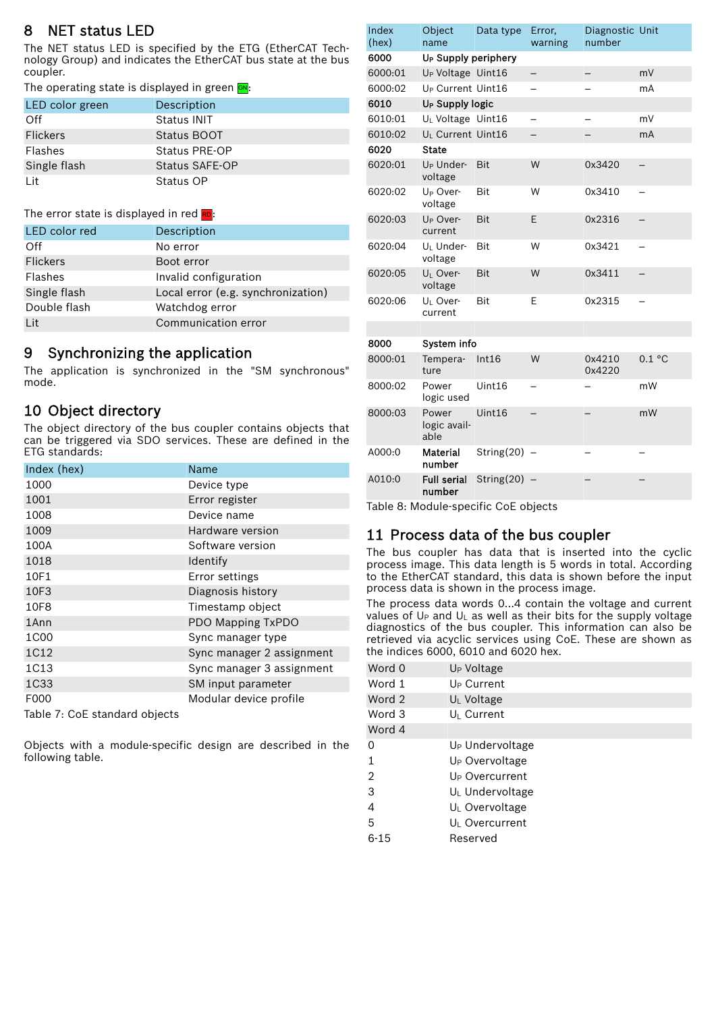### 8 NET status LED

The NET status LED is specified by the ETG (EtherCAT Technology Group) and indicates the EtherCAT bus state at the bus coupler.

The operating state is displayed in green GN:

| LED color green | Description    |
|-----------------|----------------|
| Off             | Status INIT    |
| <b>Flickers</b> | Status BOOT    |
| Flashes         | Status PRE-OP  |
| Single flash    | Status SAFE-OP |
| l it            | Status OP      |

#### The error state is displayed in red RD:

| <b>LED</b> color red | Description                        |
|----------------------|------------------------------------|
| Off                  | No error                           |
| <b>Flickers</b>      | Boot error                         |
| Flashes              | Invalid configuration              |
| Single flash         | Local error (e.g. synchronization) |
| Double flash         | Watchdog error                     |
| l it                 | Communication error                |

### 9 Synchronizing the application

The application is synchronized in the "SM synchronous" mode.

### 10 Object directory

following table.

The object directory of the bus coupler contains objects that can be triggered via SDO services. These are defined in the ETG standards:

| Index (hex)                   | <b>Name</b>               |
|-------------------------------|---------------------------|
| 1000                          | Device type               |
| 1001                          | Error register            |
| 1008                          | Device name               |
| 1009                          | Hardware version          |
| 100A                          | Software version          |
| 1018                          | Identify                  |
| 10F1                          | Error settings            |
| 10F3                          | Diagnosis history         |
| 10F8                          | Timestamp object          |
| 1Ann                          | PDO Mapping TxPDO         |
| 1C00                          | Sync manager type         |
| 1C12                          | Sync manager 2 assignment |
| 1C13                          | Sync manager 3 assignment |
| 1C33                          | SM input parameter        |
| F000                          | Modular device profile    |
| Table 7: CoE standard objects |                           |

Objects with a module-specific design are described in the

| Index<br>(hex) | Object<br>name                   | Data type       | Error,<br>warning | Diagnostic Unit<br>number |                |
|----------------|----------------------------------|-----------------|-------------------|---------------------------|----------------|
| 6000           | U <sub>P</sub> Supply periphery  |                 |                   |                           |                |
| 6000:01        | U <sub>P</sub> Voltage Uint16    |                 |                   |                           | mV             |
| 6000:02        | U <sub>P</sub> Current Uint16    |                 |                   |                           | mA             |
| 6010           | U <sub>P</sub> Supply logic      |                 |                   |                           |                |
| 6010:01        | U <sub>I</sub> Voltage Uint16    |                 |                   |                           | mV             |
| 6010:02        | U <sub>I</sub> Current Uint16    |                 |                   |                           | mA             |
| 6020           | <b>State</b>                     |                 |                   |                           |                |
| 6020:01        | U <sub>P</sub> Under-<br>voltage | <b>Bit</b>      | W                 | 0x3420                    |                |
| 6020:02        | U <sub>P</sub> Over-<br>voltage  | Bit             | W                 | 0x3410                    |                |
| 6020:03        | U <sub>P</sub> Over-<br>current  | Bit             | E                 | 0x2316                    | $\overline{a}$ |
| 6020:04        | U <sub>I</sub> Under-<br>voltage | <b>Bit</b>      | W                 | 0x3421                    |                |
| 6020:05        | U <sub>I</sub> Over-<br>voltage  | Bit             | W                 | 0x3411                    |                |
| 6020:06        | U <sub>I</sub> Over-<br>current  | Bit             | E                 | 0x2315                    |                |
|                |                                  |                 |                   |                           |                |
| 8000           | System info                      |                 |                   |                           |                |
| 8000:01        | Tempera-<br>ture                 | Int16           | W                 | 0x4210<br>0x4220          | 0.1 °C         |
| 8000:02        | Power<br>logic used              | Uint16          |                   |                           | mW             |
| 8000:03        | Power<br>logic avail-<br>able    | Uint16          |                   |                           | mW             |
| A000:0         | <b>Material</b><br>number        | String $(20)$ – |                   |                           |                |
| A010:0         | <b>Full serial</b><br>number     | String $(20)$ – |                   |                           |                |
|                |                                  |                 |                   |                           |                |

Table 8: Module-specific CoE objects

### 11 Process data of the bus coupler

The bus coupler has data that is inserted into the cyclic process image. This data length is 5 words in total. According to the EtherCAT standard, this data is shown before the input process data is shown in the process image.

The process data words 0...4 contain the voltage and current values of  $U_P$  and  $U_L$  as well as their bits for the supply voltage diagnostics of the bus coupler. This information can also be retrieved via acyclic services using CoE. These are shown as the indices 6000, 6010 and 6020 hex.

| Word 0         | U <sub>P</sub> Voltage      |
|----------------|-----------------------------|
| Word 1         | U <sub>P</sub> Current      |
| Word 2         | $U_L$ Voltage               |
| Word 3         | U <sub>I</sub> Current      |
| Word 4         |                             |
| 0              | U <sub>P</sub> Undervoltage |
| 1              | U <sub>P</sub> Overvoltage  |
| $\mathfrak{D}$ | U <sub>P</sub> Overcurrent  |
| 3              | U <sub>L</sub> Undervoltage |
| 4              | $U_L$ Overvoltage           |
| 5              | U <sub>I</sub> Overcurrent  |
| $6 - 15$       | Reserved                    |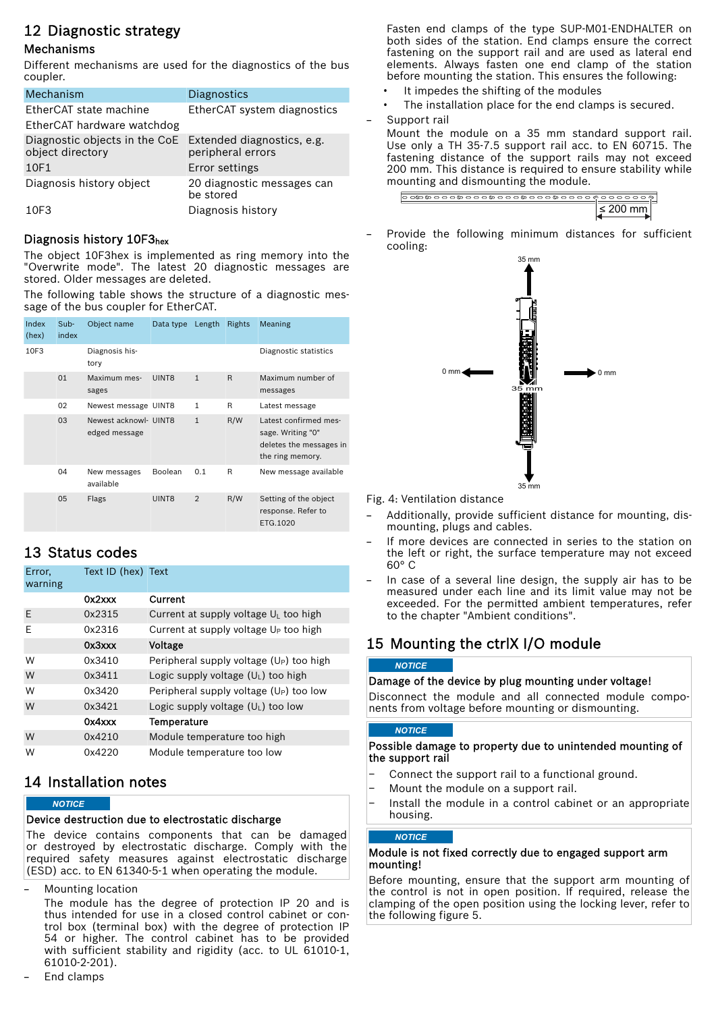## 12 Diagnostic strategy

### Mechanisms

Different mechanisms are used for the diagnostics of the bus coupler.

| Mechanism                                                                    | Diagnostics                             |
|------------------------------------------------------------------------------|-----------------------------------------|
| EtherCAT state machine                                                       | EtherCAT system diagnostics             |
| EtherCAT hardware watchdog                                                   |                                         |
| Diagnostic objects in the CoE Extended diagnostics, e.g.<br>object directory | peripheral errors                       |
| 10F1                                                                         | Error settings                          |
| Diagnosis history object                                                     | 20 diagnostic messages can<br>be stored |
| 10F3                                                                         | Diagnosis history                       |

### Diagnosis history 10F3hex

The object 10F3hex is implemented as ring memory into the "Overwrite mode". The latest 20 diagnostic messages are stored. Older messages are deleted.

The following table shows the structure of a diagnostic message of the bus coupler for EtherCAT.

| Index<br>(hex) | Sub-<br>index | Object name                            | Data type Length |                | Rights | Meaning                                                                                   |
|----------------|---------------|----------------------------------------|------------------|----------------|--------|-------------------------------------------------------------------------------------------|
| 10F3           |               | Diagnosis his-<br>tory                 |                  |                |        | Diagnostic statistics                                                                     |
|                | 01            | Maximum mes-<br>sages                  | UINT8            | $\mathbf{1}$   | R      | Maximum number of<br>messages                                                             |
|                | 02            | Newest message UINT8                   |                  | $\mathbf{1}$   | R      | Latest message                                                                            |
|                | 03            | Newest acknowl- UINT8<br>edged message |                  | $\mathbf{1}$   | R/W    | Latest confirmed mes-<br>sage. Writing "0"<br>deletes the messages in<br>the ring memory. |
|                | 04            | New messages<br>available              | Boolean          | 0.1            | R      | New message available                                                                     |
|                | 05            | Flags                                  | UINT8            | $\overline{2}$ | R/W    | Setting of the object<br>response. Refer to<br>ETG.1020                                   |

## 13 Status codes

| Error,<br>warning | Text ID (hex) Text |                                            |
|-------------------|--------------------|--------------------------------------------|
|                   | 0x2xxx             | Current                                    |
| E                 | 0x2315             | Current at supply voltage $U_L$ too high   |
| Ε                 | 0x2316             | Current at supply voltage $U_P$ too high   |
|                   | 0x3xxx             | Voltage                                    |
| W                 | 0x3410             | Peripheral supply voltage $(U_P)$ too high |
| W                 | 0x3411             | Logic supply voltage $(U_1)$ too high      |
| W                 | 0x3420             | Peripheral supply voltage $(U_P)$ too low  |
| W                 | 0x3421             | Logic supply voltage $(U_1)$ too low       |
|                   | 0x4xxx             | Temperature                                |
| W                 | 0x4210             | Module temperature too high                |
| W                 | 0x4220             | Module temperature too low                 |

### 14 Installation notes

### *NOTICE*

### Device destruction due to electrostatic discharge

The device contains components that can be damaged or destroyed by electrostatic discharge. Comply with the required safety measures against electrostatic discharge (ESD) acc. to EN 61340-5-1 when operating the module.

– Mounting location

The module has the degree of protection IP 20 and is thus intended for use in a closed control cabinet or control box (terminal box) with the degree of protection IP 54 or higher. The control cabinet has to be provided with sufficient stability and rigidity (acc. to UL 61010-1, 61010-2-201).

– End clamps

Fasten end clamps of the type SUP-M01-ENDHALTER on both sides of the station. End clamps ensure the correct fastening on the support rail and are used as lateral end elements. Always fasten one end clamp of the station before mounting the station. This ensures the following:

- It impedes the shifting of the modules
- The installation place for the end clamps is secured.
- Support rail

Mount the module on a 35 mm standard support rail. Use only a TH 35-7.5 support rail acc. to EN 60715. The fastening distance of the support rails may not exceed 200 mm. This distance is required to ensure stability while mounting and dismounting the module.

Provide the following minimum distances for sufficient cooling:



Fig. 4: Ventilation distance

- Additionally, provide sufficient distance for mounting, dismounting, plugs and cables.
- If more devices are connected in series to the station on the left or right, the surface temperature may not exceed 60° C
- In case of a several line design, the supply air has to be measured under each line and its limit value may not be exceeded. For the permitted ambient temperatures, refer to the chapter "Ambient conditions".

## 15 Mounting the ctrlX I/O module

#### *NOTICE*

### Damage of the device by plug mounting under voltage!

Disconnect the module and all connected module components from voltage before mounting or dismounting.

### *NOTICE*

### Possible damage to property due to unintended mounting of the support rail

- Connect the support rail to a functional ground.
- Mount the module on a support rail.
- Install the module in a control cabinet or an appropriate housing.

### *NOTICE*

### Module is not fixed correctly due to engaged support arm mounting!

Before mounting, ensure that the support arm mounting of the control is not in open position. If required, release the clamping of the open position using the locking lever, refer to the following figure [5](#page-5-0).